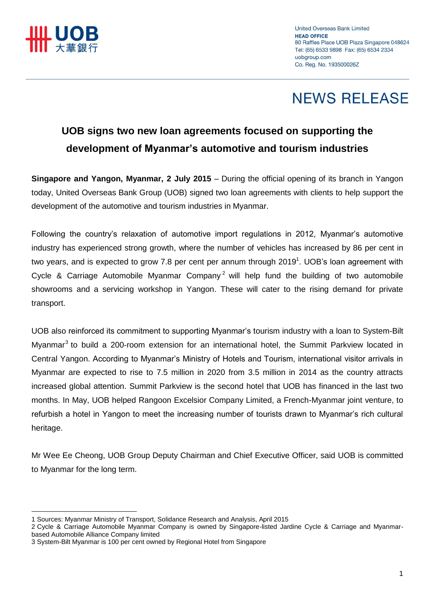

# **NEWS RELEASE**

### **UOB signs two new loan agreements focused on supporting the development of Myanmar's automotive and tourism industries**

**Singapore and Yangon, Myanmar, 2 July 2015** – During the official opening of its branch in Yangon today, United Overseas Bank Group (UOB) signed two loan agreements with clients to help support the development of the automotive and tourism industries in Myanmar.

Following the country's relaxation of automotive import regulations in 2012, Myanmar's automotive industry has experienced strong growth, where the number of vehicles has increased by 86 per cent in two years, and is expected to grow 7.8 per cent per annum through 2019<sup>1</sup>. UOB's loan agreement with Cycle & Carriage Automobile Myanmar Company<sup>2</sup> will help fund the building of two automobile showrooms and a servicing workshop in Yangon. These will cater to the rising demand for private transport.

UOB also reinforced its commitment to supporting Myanmar's tourism industry with a loan to System-Bilt Myanmar<sup>3</sup> to build a 200-room extension for an international hotel, the Summit Parkview located in Central Yangon. According to Myanmar's Ministry of Hotels and Tourism, international visitor arrivals in Myanmar are expected to rise to 7.5 million in 2020 from 3.5 million in 2014 as the country attracts increased global attention. Summit Parkview is the second hotel that UOB has financed in the last two months. In May, UOB helped Rangoon Excelsior Company Limited, a French-Myanmar joint venture, to refurbish a hotel in Yangon to meet the increasing number of tourists drawn to Myanmar's rich cultural heritage.

Mr Wee Ee Cheong, UOB Group Deputy Chairman and Chief Executive Officer, said UOB is committed to Myanmar for the long term.

 $\overline{a}$ 

<sup>1</sup> Sources: Myanmar Ministry of Transport, Solidance Research and Analysis, April 2015

<sup>2</sup> Cycle & Carriage Automobile Myanmar Company is owned by Singapore-listed Jardine Cycle & Carriage and Myanmarbased Automobile Alliance Company limited

<sup>3</sup> System-Bilt Myanmar is 100 per cent owned by Regional Hotel from Singapore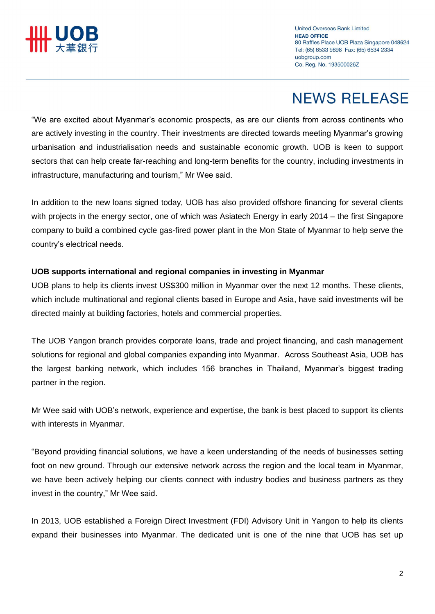

## **NEWS RELEASE**

"We are excited about Myanmar's economic prospects, as are our clients from across continents who are actively investing in the country. Their investments are directed towards meeting Myanmar's growing urbanisation and industrialisation needs and sustainable economic growth. UOB is keen to support sectors that can help create far-reaching and long-term benefits for the country, including investments in infrastructure, manufacturing and tourism," Mr Wee said.

In addition to the new loans signed today, UOB has also provided offshore financing for several clients with projects in the energy sector, one of which was Asiatech Energy in early 2014 – the first Singapore company to build a combined cycle gas-fired power plant in the Mon State of Myanmar to help serve the country's electrical needs.

### **UOB supports international and regional companies in investing in Myanmar**

UOB plans to help its clients invest US\$300 million in Myanmar over the next 12 months. These clients, which include multinational and regional clients based in Europe and Asia, have said investments will be directed mainly at building factories, hotels and commercial properties.

The UOB Yangon branch provides corporate loans, trade and project financing, and cash management solutions for regional and global companies expanding into Myanmar. Across Southeast Asia, UOB has the largest banking network, which includes 156 branches in Thailand, Myanmar's biggest trading partner in the region.

Mr Wee said with UOB's network, experience and expertise, the bank is best placed to support its clients with interests in Myanmar.

"Beyond providing financial solutions, we have a keen understanding of the needs of businesses setting foot on new ground. Through our extensive network across the region and the local team in Myanmar, we have been actively helping our clients connect with industry bodies and business partners as they invest in the country," Mr Wee said.

In 2013, UOB established a Foreign Direct Investment (FDI) Advisory Unit in Yangon to help its clients expand their businesses into Myanmar. The dedicated unit is one of the nine that UOB has set up